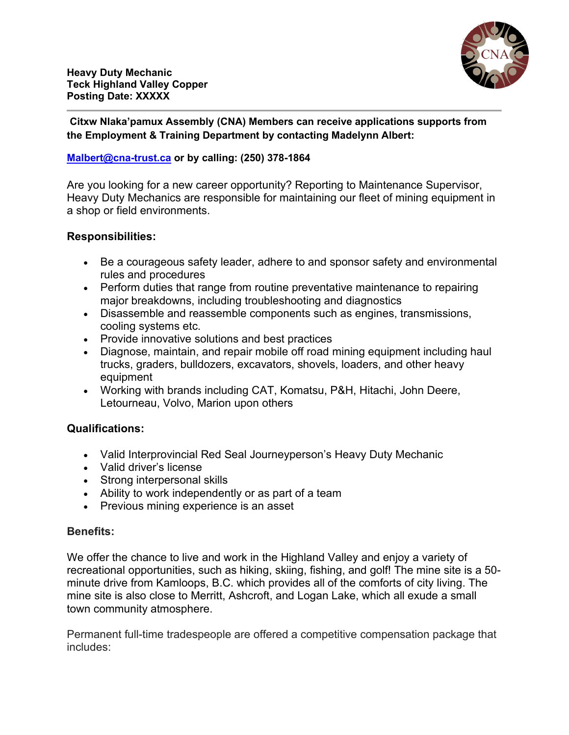

**Citxw Nlaka'pamux Assembly (CNA) Members can receive applications supports from the Employment & Training Department by contacting Madelynn Albert:**

## **[Malbert@cna-trust.ca](mailto:Malbert@cna-trust.ca) or by calling: (250) 378-1864**

Are you looking for a new career opportunity? Reporting to Maintenance Supervisor, Heavy Duty Mechanics are responsible for maintaining our fleet of mining equipment in a shop or field environments.

## **Responsibilities:**

- Be a courageous safety leader, adhere to and sponsor safety and environmental rules and procedures
- Perform duties that range from routine preventative maintenance to repairing major breakdowns, including troubleshooting and diagnostics
- Disassemble and reassemble components such as engines, transmissions, cooling systems etc.
- Provide innovative solutions and best practices
- Diagnose, maintain, and repair mobile off road mining equipment including haul trucks, graders, bulldozers, excavators, shovels, loaders, and other heavy equipment
- Working with brands including CAT, Komatsu, P&H, Hitachi, John Deere, Letourneau, Volvo, Marion upon others

## **Qualifications:**

- Valid Interprovincial Red Seal Journeyperson's Heavy Duty Mechanic
- Valid driver's license
- Strong interpersonal skills
- Ability to work independently or as part of a team
- Previous mining experience is an asset

## **Benefits:**

We offer the chance to live and work in the Highland Valley and enjoy a variety of recreational opportunities, such as hiking, skiing, fishing, and golf! The mine site is a 50 minute drive from Kamloops, B.C. which provides all of the comforts of city living. The mine site is also close to Merritt, Ashcroft, and Logan Lake, which all exude a small town community atmosphere.

Permanent full-time tradespeople are offered a competitive compensation package that includes: